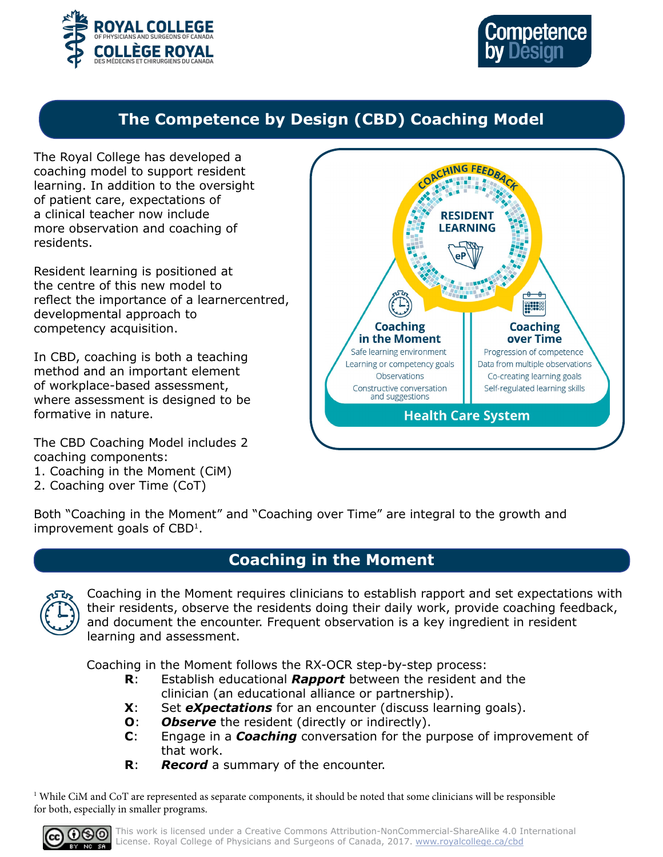



# **The Competence by Design (CBD) Coaching Model**

The Royal College has developed a coaching model to support resident learning. In addition to the oversight of patient care, expectations of a clinical teacher now include more observation and coaching of residents.

Resident learning is positioned at the centre of this new model to reflect the importance of a learnercentred, developmental approach to competency acquisition.

In CBD, coaching is both a teaching method and an important element of workplace-based assessment, where assessment is designed to be formative in nature.

The CBD Coaching Model includes 2 coaching components:

- 1. Coaching in the Moment (CiM)
- 2. Coaching over Time (CoT)



Both "Coaching in the Moment" and "Coaching over Time" are integral to the growth and improvement goals of CBD<sup>1</sup>.

# **Coaching in the Moment**



Coaching in the Moment requires clinicians to establish rapport and set expectations with their residents, observe the residents doing their daily work, provide coaching feedback, and document the encounter. Frequent observation is a key ingredient in resident learning and assessment.

Coaching in the Moment follows the RX-OCR step-by-step process:

- **R**: Establish educational *Rapport* between the resident and the clinician (an educational alliance or partnership).
- **X**: Set *eXpectations* for an encounter (discuss learning goals).
- **O**: *Observe* the resident (directly or indirectly).
- **C**: Engage in a *Coaching* conversation for the purpose of improvement of that work.
- **R**: *Record* a summary of the encounter.

 $\rm ^1$  While CiM and CoT are represented as separate components, it should be noted that some clinicians will be responsible for both, especially in smaller programs.